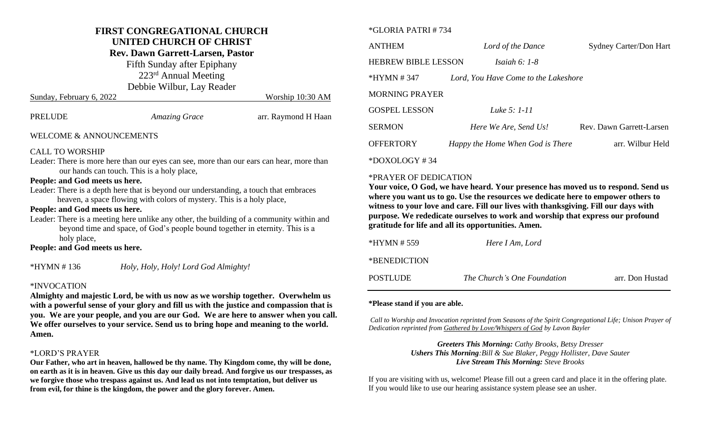# **FIRST CONGREGATIONAL CHURCH**

# **UNITED CHURCH OF CHRIST**

### **Rev. Dawn Garrett-Larsen, Pastor**

Fifth Sunday after Epiphany

223<sup>rd</sup> Annual Meeting

|                          | Debbie Wilbur, Lay Reader |                     |  |
|--------------------------|---------------------------|---------------------|--|
| Sunday, February 6, 2022 |                           | Worship 10:30 AM    |  |
| PRELUDE                  | <b>Amazing Grace</b>      | arr. Raymond H Haan |  |
| WELCOME & ANNOUNCEMENTS  |                           |                     |  |

#### CALL TO WORSHIP

Leader: There is more here than our eyes can see, more than our ears can hear, more than our hands can touch. This is a holy place,

#### **People: and God meets us here.**

Leader: There is a depth here that is beyond our understanding, a touch that embraces heaven, a space flowing with colors of mystery. This is a holy place,

#### **People: and God meets us here.**

Leader: There is a meeting here unlike any other, the building of a community within and beyond time and space, of God's people bound together in eternity. This is a holy place,

#### **People: and God meets us here.**

\*HYMN # 136 *Holy, Holy, Holy! Lord God Almighty!*

#### \*INVOCATION

**Almighty and majestic Lord, be with us now as we worship together. Overwhelm us with a powerful sense of your glory and fill us with the justice and compassion that is you. We are your people, and you are our God. We are here to answer when you call. We offer ourselves to your service. Send us to bring hope and meaning to the world. Amen.**

#### \*LORD'S PRAYER

**Our Father, who art in heaven, hallowed be thy name. Thy Kingdom come, thy will be done, on earth as it is in heaven. Give us this day our daily bread. And forgive us our trespasses, as we forgive those who trespass against us. And lead us not into temptation, but deliver us from evil, for thine is the kingdom, the power and the glory forever. Amen.**

#### \*GLORIA PATRI # 734

| <b>ANTHEM</b>              | Lord of the Dance                    | <b>Sydney Carter/Don Hart</b> |
|----------------------------|--------------------------------------|-------------------------------|
| <b>HEBREW BIBLE LESSON</b> | Isaiah $6:1-8$                       |                               |
| *HYMN #347                 | Lord, You Have Come to the Lakeshore |                               |
| <b>MORNING PRAYER</b>      |                                      |                               |
| <b>GOSPEL LESSON</b>       | Luke 5: 1-11                         |                               |
| <b>SERMON</b>              | Here We Are, Send Us!                | Rev. Dawn Garrett-Larsen      |
| <b>OFFERTORY</b>           | Happy the Home When God is There     | arr. Wilbur Held              |
| $+$                        |                                      |                               |

#### \*DOXOLOGY # 34

#### \*PRAYER OF DEDICATION

**Your voice, O God, we have heard. Your presence has moved us to respond. Send us where you want us to go. Use the resources we dedicate here to empower others to witness to your love and care. Fill our lives with thanksgiving. Fill our days with purpose. We rededicate ourselves to work and worship that express our profound gratitude for life and all its opportunities. Amen.**

| *HYMN # 559  | Here I Am, Lord             |                 |
|--------------|-----------------------------|-----------------|
| *BENEDICTION |                             |                 |
| POSTLUDE     | The Church's One Foundation | arr. Don Hustad |

#### **\*Please stand if you are able.**

*Call to Worship and Invocation reprinted from Seasons of the Spirit Congregational Life; Unison Prayer of Dedication reprinted from Gathered by Love/Whispers of God by Lavon Bayler*

> *Greeters This Morning: Cathy Brooks, Betsy Dresser Ushers This Morning:Bill & Sue Blaker, Peggy Hollister, Dave Sauter Live Stream This Morning: Steve Brooks*

If you are visiting with us, welcome! Please fill out a green card and place it in the offering plate. If you would like to use our hearing assistance system please see an usher.